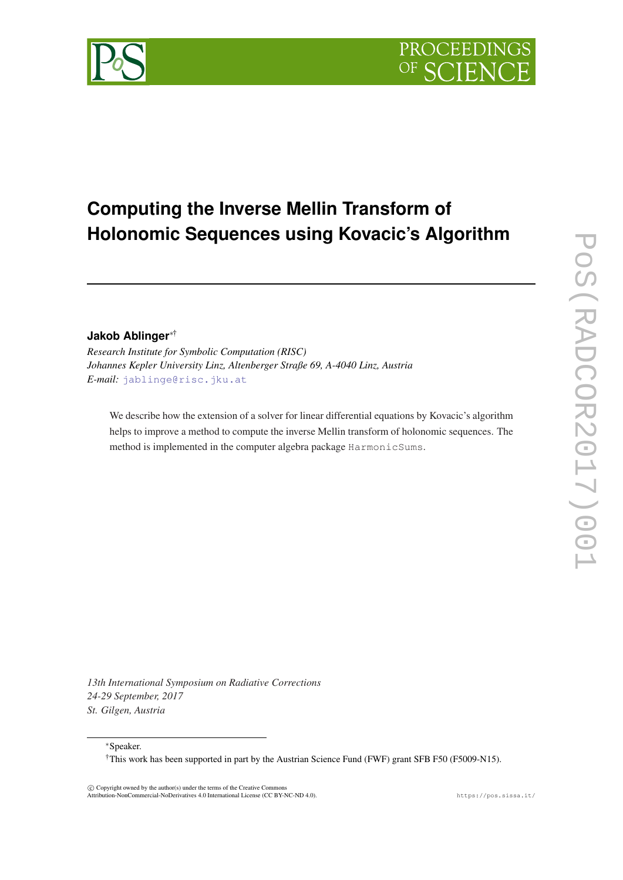

# **Computing the Inverse Mellin Transform of Holonomic Sequences using Kovacic's Algorithm**

## **Jakob Ablinger**∗†

*Research Institute for Symbolic Computation (RISC) Johannes Kepler University Linz, Altenberger Straße 69, A-4040 Linz, Austria E-mail:* [jablinge@risc.jku.at](mailto:jablinge@risc.jku.at)

We describe how the extension of a solver for linear differential equations by Kovacic's algorithm helps to improve a method to compute the inverse Mellin transform of holonomic sequences. The method is implemented in the computer algebra package HarmonicSums.

*13th International Symposium on Radiative Corrections 24-29 September, 2017 St. Gilgen, Austria*

<sup>∗</sup>Speaker.

†This work has been supported in part by the Austrian Science Fund (FWF) grant SFB F50 (F5009-N15).

 c Copyright owned by the author(s) under the terms of the Creative Commons Attribution-NonCommercial-NoDerivatives 4.0 International License (CC BY-NC-ND 4.0). https://pos.sissa.it/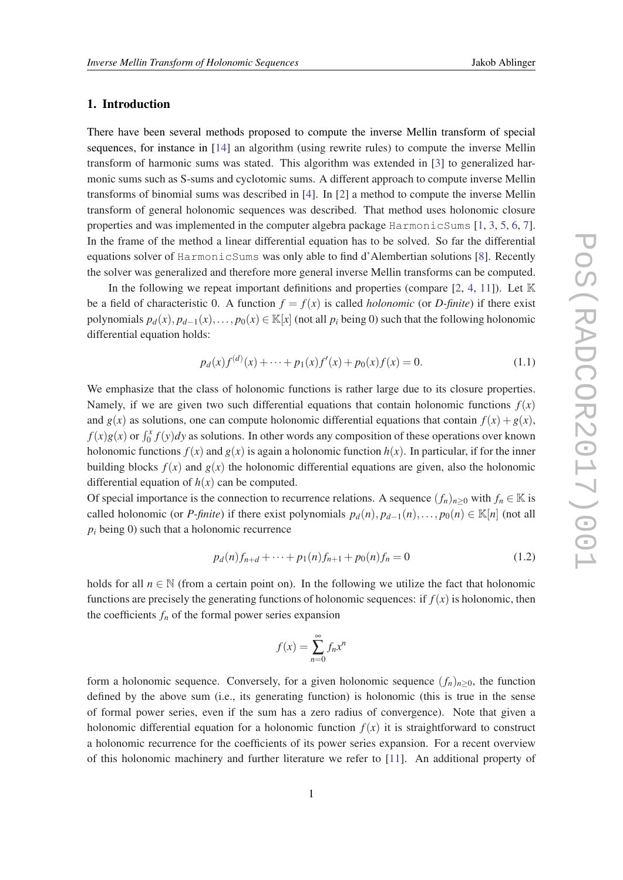## 1. Introduction

There have been several methods proposed to compute the inverse Mellin transform of special sequences, for instance in [[14\]](#page-7-0) an algorithm (using rewrite rules) to compute the inverse Mellin transform of harmonic sums was stated. This algorithm was extended in [[3](#page-6-0)] to generalized harmonic sums such as S-sums and cyclotomic sums. A different approach to compute inverse Mellin transforms of binomial sums was described in [\[4\]](#page-6-0). In [\[2\]](#page-6-0) a method to compute the inverse Mellin transform of general holonomic sequences was described. That method uses holonomic closure properties and was implemented in the computer algebra package HarmonicSums [[1](#page-6-0), [3,](#page-6-0) [5,](#page-6-0) [6,](#page-6-0) [7\]](#page-6-0). In the frame of the method a linear differential equation has to be solved. So far the differential equations solver of HarmonicSums was only able to find d'Alembertian solutions [[8\]](#page-6-0). Recently the solver was generalized and therefore more general inverse Mellin transforms can be computed.

In the following we repeat important definitions and properties (compare [\[2,](#page-6-0) [4,](#page-6-0) [11\]](#page-6-0)). Let  $\mathbb K$ be a field of characteristic 0. A function  $f = f(x)$  is called *holonomic* (or *D-finite*) if there exist polynomials  $p_d(x)$ ,  $p_{d-1}(x)$ ,...,  $p_0(x) \in \mathbb{K}[x]$  (not all  $p_i$  being 0) such that the following holonomic differential equation holds:

$$
p_d(x)f^{(d)}(x) + \dots + p_1(x)f'(x) + p_0(x)f(x) = 0.
$$
\n(1.1)

We emphasize that the class of holonomic functions is rather large due to its closure properties. Namely, if we are given two such differential equations that contain holonomic functions  $f(x)$ and  $g(x)$  as solutions, one can compute holonomic differential equations that contain  $f(x) + g(x)$ ,  $f(x)g(x)$  or  $\int_0^x f(y)dy$  as solutions. In other words any composition of these operations over known holonomic functions  $f(x)$  and  $g(x)$  is again a holonomic function  $h(x)$ . In particular, if for the inner building blocks  $f(x)$  and  $g(x)$  the holonomic differential equations are given, also the holonomic differential equation of  $h(x)$  can be computed.

Of special importance is the connection to recurrence relations. A sequence  $(f_n)_{n>0}$  with  $f_n \in \mathbb{K}$  is called holonomic (or *P-finite*) if there exist polynomials  $p_d(n), p_{d-1}(n), \ldots, p_0(n) \in \mathbb{K}[n]$  (not all  $p_i$  being 0) such that a holonomic recurrence

$$
p_d(n)f_{n+d} + \dots + p_1(n)f_{n+1} + p_0(n)f_n = 0 \tag{1.2}
$$

holds for all  $n \in \mathbb{N}$  (from a certain point on). In the following we utilize the fact that holonomic functions are precisely the generating functions of holonomic sequences: if  $f(x)$  is holonomic, then the coefficients  $f_n$  of the formal power series expansion

$$
f(x) = \sum_{n=0}^{\infty} f_n x^n
$$

form a holonomic sequence. Conversely, for a given holonomic sequence  $(f_n)_{n>0}$ , the function defined by the above sum (i.e., its generating function) is holonomic (this is true in the sense of formal power series, even if the sum has a zero radius of convergence). Note that given a holonomic differential equation for a holonomic function  $f(x)$  it is straightforward to construct a holonomic recurrence for the coefficients of its power series expansion. For a recent overview of this holonomic machinery and further literature we refer to [[11\]](#page-6-0). An additional property of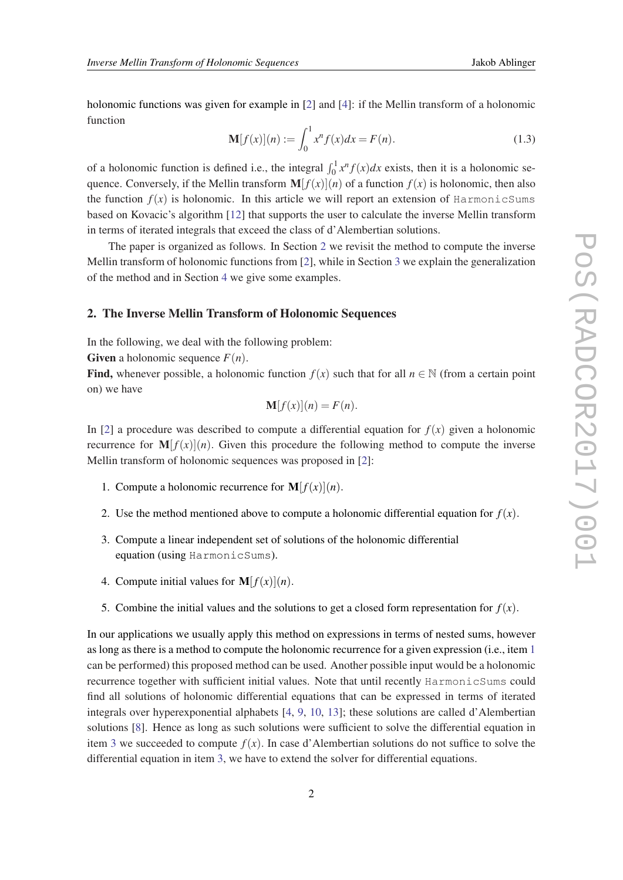holonomic functions was given for example in [[2](#page-6-0)] and [\[4](#page-6-0)]: if the Mellin transform of a holonomic function

$$
\mathbf{M}[f(x)](n) := \int_0^1 x^n f(x) dx = F(n).
$$
 (1.3)

of a holonomic function is defined i.e., the integral  $\int_0^1 x^n f(x) dx$  exists, then it is a holonomic sequence. Conversely, if the Mellin transform  $\mathbf{M}[f(x)](n)$  of a function  $f(x)$  is holonomic, then also the function  $f(x)$  is holonomic. In this article we will report an extension of HarmonicSums based on Kovacic's algorithm [[12\]](#page-7-0) that supports the user to calculate the inverse Mellin transform in terms of iterated integrals that exceed the class of d'Alembertian solutions.

The paper is organized as follows. In Section 2 we revisit the method to compute the inverse Mellin transform of holonomic functions from [\[2\]](#page-6-0), while in Section [3](#page-3-0) we explain the generalization of the method and in Section [4](#page-4-0) we give some examples.

#### 2. The Inverse Mellin Transform of Holonomic Sequences

In the following, we deal with the following problem:

Given a holonomic sequence  $F(n)$ .

Find, whenever possible, a holonomic function  $f(x)$  such that for all  $n \in \mathbb{N}$  (from a certain point on) we have

$$
\mathbf{M}[f(x)](n) = F(n).
$$

In [[2](#page-6-0)] a procedure was described to compute a differential equation for  $f(x)$  given a holonomic recurrence for  $\mathbf{M}[f(x)](n)$ . Given this procedure the following method to compute the inverse Mellin transform of holonomic sequences was proposed in [[2](#page-6-0)]:

- 1. Compute a holonomic recurrence for  $\mathbf{M}[f(x)](n)$ .
- 2. Use the method mentioned above to compute a holonomic differential equation for  $f(x)$ .
- 3. Compute a linear independent set of solutions of the holonomic differential equation (using HarmonicSums).
- 4. Compute initial values for  $\mathbf{M}[f(x)](n)$ .
- 5. Combine the initial values and the solutions to get a closed form representation for  $f(x)$ .

In our applications we usually apply this method on expressions in terms of nested sums, however as long as there is a method to compute the holonomic recurrence for a given expression (i.e., item 1 can be performed) this proposed method can be used. Another possible input would be a holonomic recurrence together with sufficient initial values. Note that until recently HarmonicSums could find all solutions of holonomic differential equations that can be expressed in terms of iterated integrals over hyperexponential alphabets [\[4,](#page-6-0) [9](#page-6-0), [10,](#page-6-0) [13\]](#page-7-0); these solutions are called d'Alembertian solutions [[8\]](#page-6-0). Hence as long as such solutions were sufficient to solve the differential equation in item 3 we succeeded to compute  $f(x)$ . In case d'Alembertian solutions do not suffice to solve the differential equation in item 3, we have to extend the solver for differential equations.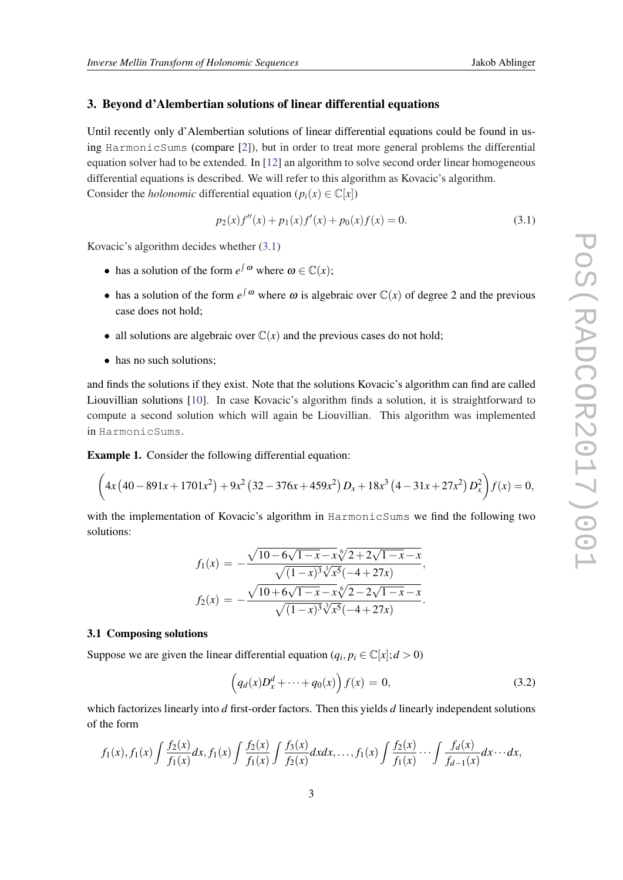#### <span id="page-3-0"></span>3. Beyond d'Alembertian solutions of linear differential equations

Until recently only d'Alembertian solutions of linear differential equations could be found in using HarmonicSums (compare [\[2\]](#page-6-0)), but in order to treat more general problems the differential equation solver had to be extended. In [[12\]](#page-7-0) an algorithm to solve second order linear homogeneous differential equations is described. We will refer to this algorithm as Kovacic's algorithm. Consider the *holonomic* differential equation ( $p_i(x) \in \mathbb{C}[x]$ )

$$
p_2(x)f''(x) + p_1(x)f'(x) + p_0(x)f(x) = 0.
$$
\n(3.1)

Kovacic's algorithm decides whether (3.1)

- has a solution of the form  $e^{\int \omega}$  where  $\omega \in \mathbb{C}(x)$ ;
- has a solution of the form  $e^{\int \omega}$  where  $\omega$  is algebraic over  $\mathbb{C}(x)$  of degree 2 and the previous case does not hold;
- all solutions are algebraic over  $\mathbb{C}(x)$  and the previous cases do not hold;
- has no such solutions;

and finds the solutions if they exist. Note that the solutions Kovacic's algorithm can find are called Liouvillian solutions [[10\]](#page-6-0). In case Kovacic's algorithm finds a solution, it is straightforward to compute a second solution which will again be Liouvillian. This algorithm was implemented in HarmonicSums.

Example 1. Consider the following differential equation:

$$
\left(4x\left(40-891x+1701x^2\right)+9x^2\left(32-376x+459x^2\right)D_x+18x^3\left(4-31x+27x^2\right)D_x^2\right)f(x)=0,
$$

with the implementation of Kovacic's algorithm in HarmonicSums we find the following two solutions:

$$
f_1(x) = -\frac{\sqrt{10 - 6\sqrt{1 - x} - x\sqrt[6]{2 + 2\sqrt{1 - x} - x}}}{\sqrt{(1 - x)^3 \sqrt[3]{x^5}(-4 + 27x)}},
$$

$$
f_2(x) = -\frac{\sqrt{10 + 6\sqrt{1 - x} - x\sqrt[6]{2 - 2\sqrt{1 - x} - x}}}{\sqrt{(1 - x)^3 \sqrt[3]{x^5}(-4 + 27x)}}.
$$

#### 3.1 Composing solutions

Suppose we are given the linear differential equation  $(q_i, p_i \in \mathbb{C}[x]; d > 0)$ 

$$
(q_d(x)D_x^d + \dots + q_0(x)) f(x) = 0,
$$
\n(3.2)

which factorizes linearly into *d* first-order factors. Then this yields *d* linearly independent solutions of the form

$$
f_1(x), f_1(x) \int \frac{f_2(x)}{f_1(x)} dx, f_1(x) \int \frac{f_2(x)}{f_1(x)} \int \frac{f_3(x)}{f_2(x)} dx dx, \dots, f_1(x) \int \frac{f_2(x)}{f_1(x)} \dots \int \frac{f_d(x)}{f_{d-1}(x)} dx \dots dx,
$$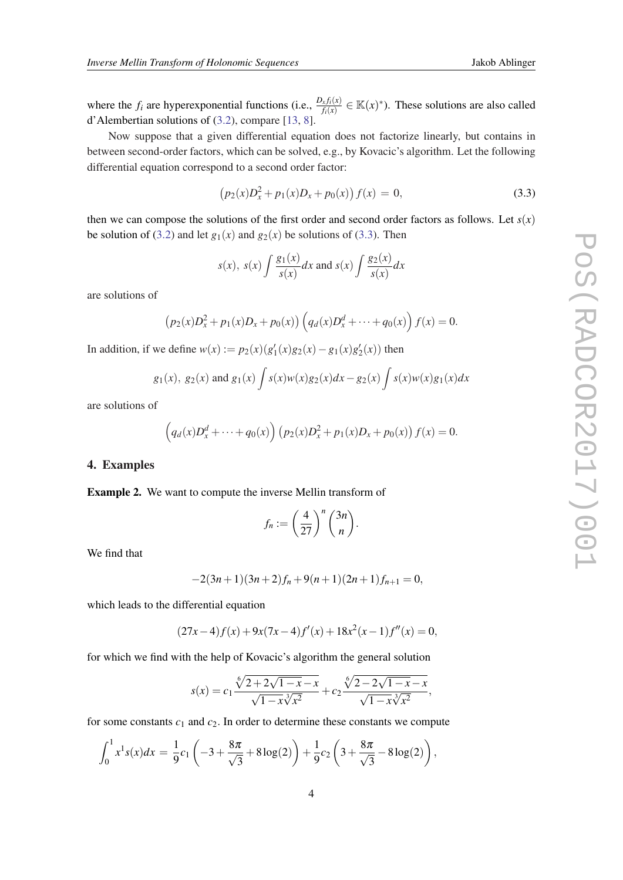<span id="page-4-0"></span>where the  $f_i$  are hyperexponential functions (i.e.,  $\frac{D_x f_i(x)}{f_i(x)} \in \mathbb{K}(x)^*$ ). These solutions are also called d'Alembertian solutions of [\(3.2\)](#page-3-0), compare [[13,](#page-7-0) [8\]](#page-6-0).

Now suppose that a given differential equation does not factorize linearly, but contains in between second-order factors, which can be solved, e.g., by Kovacic's algorithm. Let the following differential equation correspond to a second order factor:

$$
(p_2(x)D_x^2 + p_1(x)D_x + p_0(x)) f(x) = 0,
$$
\n(3.3)

then we can compose the solutions of the first order and second order factors as follows. Let  $s(x)$ be solution of ([3.2](#page-3-0)) and let  $g_1(x)$  and  $g_2(x)$  be solutions of (3.3). Then

$$
s(x)
$$
,  $s(x) \int \frac{g_1(x)}{s(x)} dx$  and  $s(x) \int \frac{g_2(x)}{s(x)} dx$ 

are solutions of

$$
(p_2(x)D_x^2 + p_1(x)D_x + p_0(x))\left(q_d(x)D_x^d + \cdots + q_0(x)\right)f(x) = 0.
$$

In addition, if we define  $w(x) := p_2(x)(g'_1(x)g_2(x) - g_1(x)g'_2(x))$  then

$$
g_1(x)
$$
,  $g_2(x)$  and  $g_1(x) \int s(x)w(x)g_2(x)dx - g_2(x) \int s(x)w(x)g_1(x)dx$ 

are solutions of

$$
(q_d(x)D_x^d + \dots + q_0(x))(p_2(x)D_x^2 + p_1(x)D_x + p_0(x)) f(x) = 0.
$$

## 4. Examples

Example 2. We want to compute the inverse Mellin transform of

$$
f_n := \left(\frac{4}{27}\right)^n \binom{3n}{n}.
$$

We find that

$$
-2(3n+1)(3n+2)f_n+9(n+1)(2n+1)f_{n+1}=0,
$$

which leads to the differential equation

$$
(27x-4)f(x) + 9x(7x-4)f'(x) + 18x2(x-1)f''(x) = 0,
$$

for which we find with the help of Kovacic's algorithm the general solution

$$
s(x) = c_1 \frac{\sqrt[6]{2 + 2\sqrt{1 - x} - x}}{\sqrt{1 - x} \sqrt[3]{x^2}} + c_2 \frac{\sqrt[6]{2 - 2\sqrt{1 - x} - x}}{\sqrt{1 - x} \sqrt[3]{x^2}},
$$

for some constants  $c_1$  and  $c_2$ . In order to determine these constants we compute

$$
\int_0^1 x^1 s(x) dx = \frac{1}{9} c_1 \left( -3 + \frac{8\pi}{\sqrt{3}} + 8\log(2) \right) + \frac{1}{9} c_2 \left( 3 + \frac{8\pi}{\sqrt{3}} - 8\log(2) \right),
$$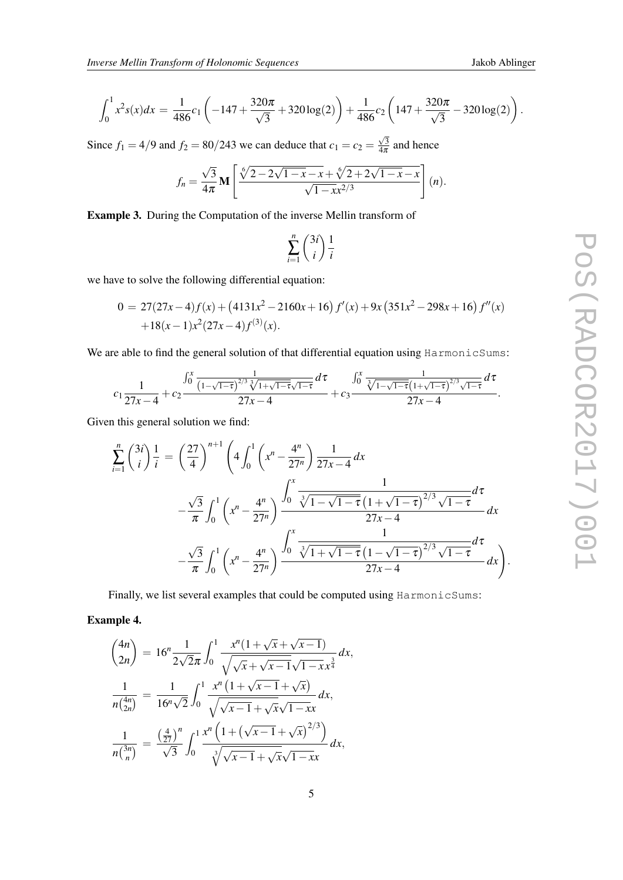$$
\int_0^1 x^2 s(x) dx = \frac{1}{486} c_1 \left( -147 + \frac{320\pi}{\sqrt{3}} + 320\log(2) \right) + \frac{1}{486} c_2 \left( 147 + \frac{320\pi}{\sqrt{3}} - 320\log(2) \right).
$$

Since  $f_1 = 4/9$  and  $f_2 = 80/243$  we can deduce that  $c_1 = c_2 =$  $\sqrt{3}$  $\frac{\sqrt{3}}{4\pi}$  and hence

$$
f_n = \frac{\sqrt{3}}{4\pi} \mathbf{M} \left[ \frac{\sqrt[6]{2 - 2\sqrt{1 - x} - x} + \sqrt[6]{2 + 2\sqrt{1 - x} - x}}{\sqrt{1 - x^2}} \right] (n).
$$

Example 3. During the Computation of the inverse Mellin transform of

$$
\sum_{i=1}^{n} \binom{3i}{i} \frac{1}{i}
$$

we have to solve the following differential equation:

$$
0 = 27(27x-4)f(x) + (4131x^2 - 2160x + 16) f'(x) + 9x (351x^2 - 298x + 16) f''(x)
$$
  
+18(x-1)x<sup>2</sup>(27x-4)f<sup>(3)</sup>(x).

We are able to find the general solution of that differential equation using HarmonicSums:

$$
c_1 \frac{1}{27x-4} + c_2 \frac{\int_0^x \frac{1}{(1-\sqrt{1-\tau})^{2/3} \sqrt[3]{1+\sqrt{1-\tau}} \sqrt{1-\tau}} d\tau}{27x-4} + c_3 \frac{\int_0^x \frac{1}{\sqrt[3]{1-\sqrt{1-\tau}} (1+\sqrt{1-\tau})^{2/3} \sqrt{1-\tau}} d\tau}{27x-4}.
$$

Given this general solution we find:

$$
\sum_{i=1}^{n} {3i \choose i} \frac{1}{i} = \left(\frac{27}{4}\right)^{n+1} \left(4 \int_{0}^{1} \left(x^{n} - \frac{4^{n}}{27^{n}}\right) \frac{1}{27x - 4} dx \n- \frac{\sqrt{3}}{\pi} \int_{0}^{1} \left(x^{n} - \frac{4^{n}}{27^{n}}\right) \frac{\int_{0}^{x} \frac{1}{\sqrt[3]{1 - \sqrt{1 - \tau} \left(1 + \sqrt{1 - \tau}\right)^{2/3} \sqrt{1 - \tau}} d\tau}{27x - 4} dx \n- \frac{\sqrt{3}}{\pi} \int_{0}^{1} \left(x^{n} - \frac{4^{n}}{27^{n}}\right) \frac{\int_{0}^{x} \frac{1}{\sqrt[3]{1 + \sqrt{1 - \tau} \left(1 - \sqrt{1 - \tau}\right)^{2/3} \sqrt{1 - \tau}} d\tau}{27x - 4} dx\right).
$$

Finally, we list several examples that could be computed using HarmonicSums:

Example 4.

$$
\binom{4n}{2n} = 16^n \frac{1}{2\sqrt{2}\pi} \int_0^1 \frac{x^n (1 + \sqrt{x} + \sqrt{x - 1})}{\sqrt{\sqrt{x} + \sqrt{x - 1}} \sqrt{1 - x} x^{\frac{3}{4}}} dx,
$$
  

$$
\frac{1}{n\binom{4n}{2n}} = \frac{1}{16^n \sqrt{2}} \int_0^1 \frac{x^n (1 + \sqrt{x - 1} + \sqrt{x})}{\sqrt{\sqrt{x - 1}} \sqrt{x} \sqrt{1 - x} x} dx,
$$
  

$$
\frac{1}{n\binom{3n}{n}} = \frac{\left(\frac{4}{27}\right)^n}{\sqrt{3}} \int_0^1 \frac{x^n \left(1 + \left(\sqrt{x - 1} + \sqrt{x}\right)^{2/3}\right)}{\sqrt[3]{\sqrt{x - 1}} \sqrt{x} \sqrt{1 - x} x} dx,
$$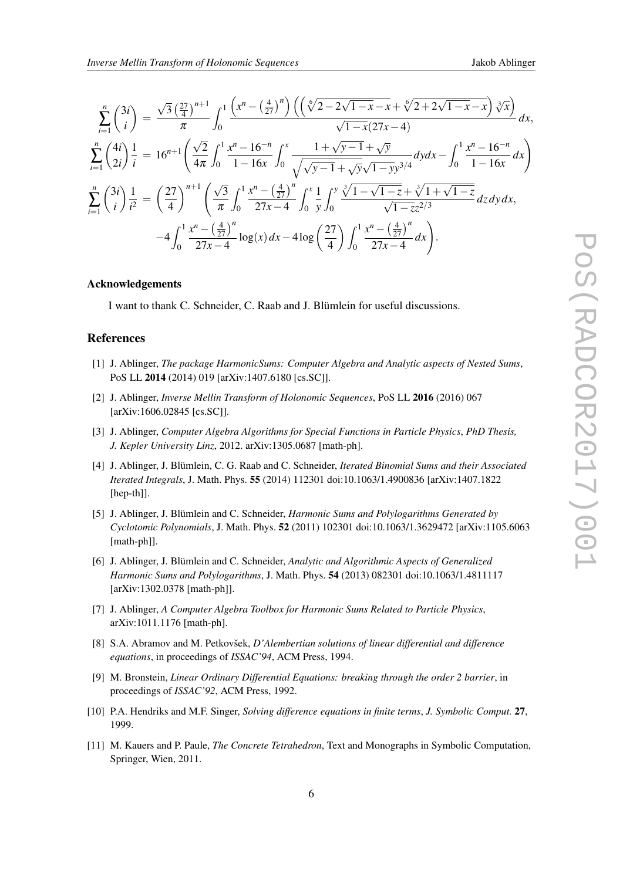<span id="page-6-0"></span>
$$
\sum_{i=1}^{n} {3i \choose i} = \frac{\sqrt{3} \left(\frac{27}{4}\right)^{n+1}}{\pi} \int_{0}^{1} \frac{\left(x^{n} - \left(\frac{4}{27}\right)^{n}\right) \left(\left(\sqrt[6]{2 - 2\sqrt{1 - x} - x} + \sqrt[6]{2 + 2\sqrt{1 - x} - x}\right) \sqrt[3]{x}\right)}{\sqrt{1 - x}(27x - 4)} dx,
$$
\n
$$
\sum_{i=1}^{n} {4i \choose 2i} \frac{1}{i} = 16^{n+1} \left(\frac{\sqrt{2}}{4\pi} \int_{0}^{1} \frac{x^{n} - 16^{-n}}{1 - 16x} \int_{0}^{x} \frac{1 + \sqrt{y - 1} + \sqrt{y}}{\sqrt{y - 1} + \sqrt{y}\sqrt{1 - y}y^{3/4}} dy dx - \int_{0}^{1} \frac{x^{n} - 16^{-n}}{1 - 16x} dx\right)
$$
\n
$$
\sum_{i=1}^{n} {3i \choose i} \frac{1}{i^{2}} = {27 \choose 4}^{n+1} \left(\frac{\sqrt{3}}{\pi} \int_{0}^{1} \frac{x^{n} - \left(\frac{4}{27}\right)^{n}}{27x - 4} \int_{0}^{x} \frac{1}{y} \int_{0}^{y} \frac{\sqrt[3]{1 - \sqrt{1 - z}} + \sqrt[3]{1 + \sqrt{1 - z}}}{\sqrt{1 - z}z^{2/3}} dz dy dx, -4 \int_{0}^{1} \frac{x^{n} - \left(\frac{4}{27}\right)^{n}}{27x - 4} \log(x) dx - 4 \log\left(\frac{27}{4}\right) \int_{0}^{1} \frac{x^{n} - \left(\frac{4}{27}\right)^{n}}{27x - 4} dx.
$$

#### Acknowledgements

I want to thank C. Schneider, C. Raab and J. Blümlein for useful discussions.

### References

- [1] J. Ablinger, *The package HarmonicSums: Computer Algebra and Analytic aspects of Nested Sums*, PoS LL 2014 (2014) 019 [arXiv:1407.6180 [cs.SC]].
- [2] J. Ablinger, *Inverse Mellin Transform of Holonomic Sequences*, PoS LL 2016 (2016) 067 [arXiv:1606.02845 [cs.SC]].
- [3] J. Ablinger, *Computer Algebra Algorithms for Special Functions in Particle Physics*, *PhD Thesis, J. Kepler University Linz*, 2012. arXiv:1305.0687 [math-ph].
- [4] J. Ablinger, J. Blümlein, C. G. Raab and C. Schneider, *Iterated Binomial Sums and their Associated Iterated Integrals*, J. Math. Phys. 55 (2014) 112301 doi:10.1063/1.4900836 [arXiv:1407.1822 [hep-th]].
- [5] J. Ablinger, J. Blümlein and C. Schneider, *Harmonic Sums and Polylogarithms Generated by Cyclotomic Polynomials*, J. Math. Phys. 52 (2011) 102301 doi:10.1063/1.3629472 [arXiv:1105.6063 [math-ph]].
- [6] J. Ablinger, J. Blümlein and C. Schneider, *Analytic and Algorithmic Aspects of Generalized Harmonic Sums and Polylogarithms*, J. Math. Phys. 54 (2013) 082301 doi:10.1063/1.4811117 [arXiv:1302.0378 [math-ph]].
- [7] J. Ablinger, *A Computer Algebra Toolbox for Harmonic Sums Related to Particle Physics*, arXiv:1011.1176 [math-ph].
- [8] S.A. Abramov and M. Petkovšek, *D'Alembertian solutions of linear differential and difference equations*, in proceedings of *ISSAC'94*, ACM Press, 1994.
- [9] M. Bronstein, *Linear Ordinary Differential Equations: breaking through the order 2 barrier*, in proceedings of *ISSAC'92*, ACM Press, 1992.
- [10] P.A. Hendriks and M.F. Singer, *Solving difference equations in finite terms*, *J. Symbolic Comput.* 27, 1999.
- [11] M. Kauers and P. Paule, *The Concrete Tetrahedron*, Text and Monographs in Symbolic Computation, Springer, Wien, 2011.